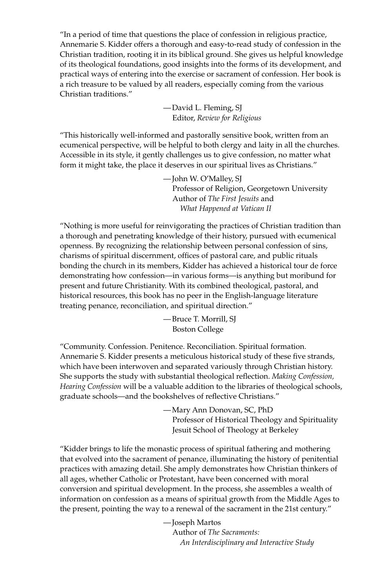"In a period of time that questions the place of confession in religious practice, Annemarie S. Kidder offers a thorough and easy-to-read study of confession in the Christian tradition, rooting it in its biblical ground. She gives us helpful knowledge of its theological foundations, good insights into the forms of its development, and practical ways of entering into the exercise or sacrament of confession. Her book is a rich treasure to be valued by all readers, especially coming from the various Christian traditions."

> —David L. Fleming, SJ Editor, *Review for Religious*

"This historically well-informed and pastorally sensitive book, written from an ecumenical perspective, will be helpful to both clergy and laity in all the churches. Accessible in its style, it gently challenges us to give confession, no matter what form it might take, the place it deserves in our spiritual lives as Christians."

> —John W. O'Malley, SJ Professor of Religion, Georgetown University Author of *The First Jesuits* and *What Happened at Vatican II*

"Nothing is more useful for reinvigorating the practices of Christian tradition than a thorough and penetrating knowledge of their history, pursued with ecumenical openness. By recognizing the relationship between personal confession of sins, charisms of spiritual discernment, offices of pastoral care, and public rituals bonding the church in its members, Kidder has achieved a historical tour de force demonstrating how confession—in various forms—is anything but moribund for present and future Christianity. With its combined theological, pastoral, and historical resources, this book has no peer in the English-language literature treating penance, reconciliation, and spiritual direction."

> —Bruce T. Morrill, SJ Boston College

"Community. Confession. Penitence. Reconciliation. Spiritual formation. Annemarie S. Kidder presents a meticulous historical study of these five strands, which have been interwoven and separated variously through Christian history. She supports the study with substantial theological reflection. *Making Confession, Hearing Confession* will be a valuable addition to the libraries of theological schools, graduate schools—and the bookshelves of reflective Christians."

> —Mary Ann Donovan, SC, PhD Professor of Historical Theology and Spirituality Jesuit School of Theology at Berkeley

"Kidder brings to life the monastic process of spiritual fathering and mothering that evolved into the sacrament of penance, illuminating the history of penitential practices with amazing detail. She amply demonstrates how Christian thinkers of all ages, whether Catholic or Protestant, have been concerned with moral conversion and spiritual development. In the process, she assembles a wealth of information on confession as a means of spiritual growth from the Middle Ages to the present, pointing the way to a renewal of the sacrament in the 21st century."

> —Joseph Martos Author of *The Sacraments: An Interdisciplinary and Interactive Study*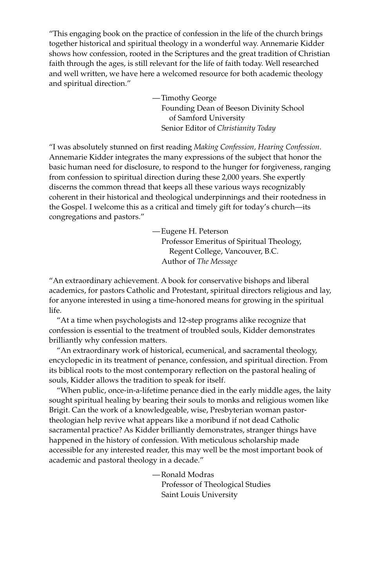"This engaging book on the practice of confession in the life of the church brings together historical and spiritual theology in a wonderful way. Annemarie Kidder shows how confession, rooted in the Scriptures and the great tradition of Christian faith through the ages, is still relevant for the life of faith today. Well researched and well written, we have here a welcomed resource for both academic theology and spiritual direction."

> —Timothy George Founding Dean of Beeson Divinity School of Samford University Senior Editor of *Christianity Today*

"I was absolutely stunned on first reading *Making Confession, Hearing Confession*. Annemarie Kidder integrates the many expressions of the subject that honor the basic human need for disclosure, to respond to the hunger for forgiveness, ranging from confession to spiritual direction during these 2,000 years. She expertly discerns the common thread that keeps all these various ways recognizably coherent in their historical and theological underpinnings and their rootedness in the Gospel. I welcome this as a critical and timely gift for today's church—its congregations and pastors."

> —Eugene H. Peterson Professor Emeritus of Spiritual Theology, Regent College, Vancouver, B.C. Author of *The Message*

"An extraordinary achievement. A book for conservative bishops and liberal academics, for pastors Catholic and Protestant, spiritual directors religious and lay, for anyone interested in using a time-honored means for growing in the spiritual life.

"At a time when psychologists and 12-step programs alike recognize that confession is essential to the treatment of troubled souls, Kidder demonstrates brilliantly why confession matters.

"An extraordinary work of historical, ecumenical, and sacramental theology, encyclopedic in its treatment of penance, confession, and spiritual direction. From its biblical roots to the most contemporary reflection on the pastoral healing of souls, Kidder allows the tradition to speak for itself.

"When public, once-in-a-lifetime penance died in the early middle ages, the laity sought spiritual healing by bearing their souls to monks and religious women like Brigit. Can the work of a knowledgeable, wise, Presbyterian woman pastortheologian help revive what appears like a moribund if not dead Catholic sacramental practice? As Kidder brilliantly demonstrates, stranger things have happened in the history of confession. With meticulous scholarship made accessible for any interested reader, this may well be the most important book of academic and pastoral theology in a decade."

> —Ronald Modras Professor of Theological Studies Saint Louis University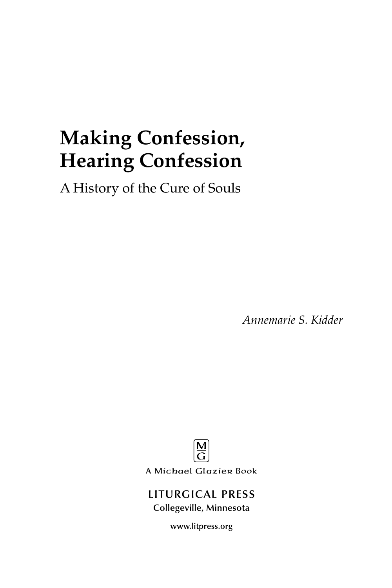# **Making Confession, Hearing Confession**

A History of the Cure of Souls

*Annemarie S. Kidder*



A Michael Glazier Book

### **LITURGICAL PRESS**

**Collegeville, Minnesota**

**www.litpress.org**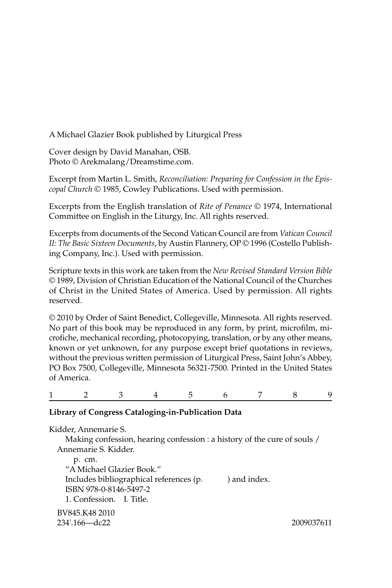A Michael Glazier Book published by Liturgical Press

Cover design by David Manahan, OSB. Photo © Arekmalang/Dreamstime.com.

Excerpt from Martin L. Smith, *Reconciliation: Preparing for Confession in the Episcopal Church* © 1985, Cowley Publications. Used with permission.

Excerpts from the English translation of *Rite of Penance* © 1974, International Committee on English in the Liturgy, Inc. All rights reserved.

Excerpts from documents of the Second Vatican Council are from *Vatican Council II: The Basic Sixteen Documents*, by Austin Flannery, OP © 1996 (Costello Publishing Company, Inc.). Used with permission.

Scripture texts in this work are taken from the *New Revised Standard Version Bible* © 1989, Division of Christian Education of the National Council of the Churches of Christ in the United States of America. Used by permission. All rights reserved.

© 2010 by Order of Saint Benedict, Collegeville, Minnesota. All rights reserved. No part of this book may be reproduced in any form, by print, microfilm, microfiche, mechanical recording, photocopying, translation, or by any other means, known or yet unknown, for any purpose except brief quotations in reviews, without the previous written permission of Liturgical Press, Saint John's Abbey, PO Box 7500, Collegeville, Minnesota 56321-7500. Printed in the United States of America.

123456789

### **Library of Congress Cataloging-in-Publication Data**

Kidder, Annemarie S. Making confession, hearing confession : a history of the cure of souls / Annemarie S. Kidder. p. cm. "A Michael Glazier Book." Includes bibliographical references (p. ) and index. ISBN 978-0-8146-5497-2 1. Confession. I. Title. BV845.K48 2010 234'.166—dc22 2009037611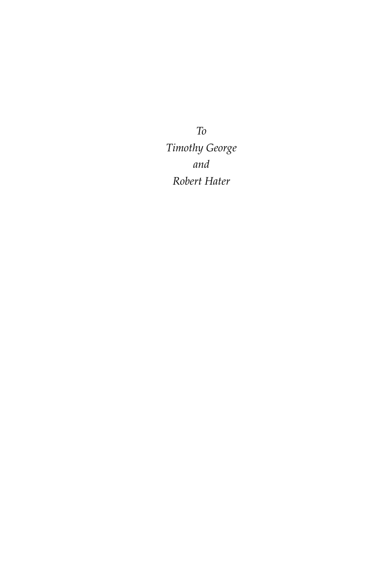*To Timothy George and Robert Hater*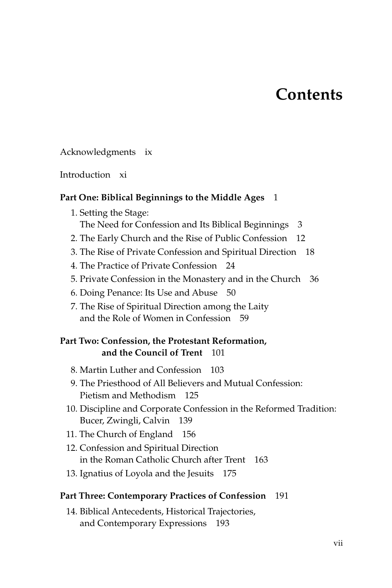### **Contents**

Acknowledgments ix

Introduction xi

### **Part One: Biblical Beginnings to the Middle Ages** 1

- 1. Setting the Stage: The Need for Confession and Its Biblical Beginnings 3
- 2. The Early Church and the Rise of Public Confession 12
- 3. The Rise of Private Confession and Spiritual Direction 18
- 4. The Practice of Private Confession 24
- 5. Private Confession in the Monastery and in the Church 36
- 6. Doing Penance: Its Use and Abuse 50
- 7. The Rise of Spiritual Direction among the Laity and the Role of Women in Confession 59

### **Part Two: Confession, the Protestant Reformation, and the Council of Trent** 101

- 8. Martin Luther and Confession 103
- 9. The Priesthood of All Believers and Mutual Confession: Pietism and Methodism 125
- 10. Discipline and Corporate Confession in the Reformed Tradition: Bucer, Zwingli, Calvin 139
- 11. The Church of England 156
- 12. Confession and Spiritual Direction in the Roman Catholic Church after Trent 163
- 13. Ignatius of Loyola and the Jesuits 175

### **Part Three: Contemporary Practices of Confession** 191

14. Biblical Antecedents, Historical Trajectories, and Contemporary Expressions 193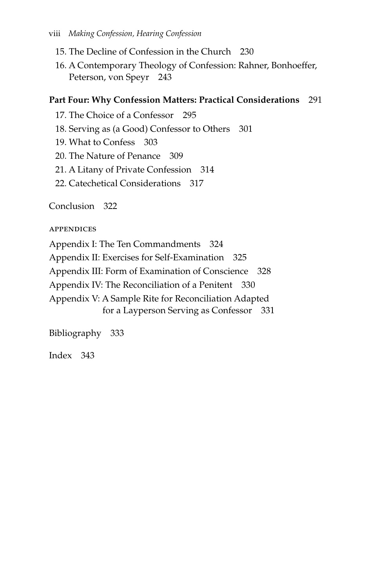- 15. The Decline of Confession in the Church 230
- 16. A Contemporary Theology of Confession: Rahner, Bonhoeffer, Peterson, von Speyr 243

### **Part Four: Why Confession Matters: Practical Considerations** 291

- 17. The Choice of a Confessor 295
- 18. Serving as (a Good) Confessor to Others 301
- 19. What to Confess 303
- 20. The Nature of Penance 309
- 21. A Litany of Private Confession 314
- 22. Catechetical Considerations 317

Conclusion 322

### **APPENDICES**

Appendix I: The Ten Commandments 324 Appendix II: Exercises for Self-Examination 325 Appendix III: Form of Examination of Conscience 328 Appendix IV: The Reconciliation of a Penitent 330 Appendix V: A Sample Rite for Reconciliation Adapted for a Layperson Serving as Confessor 331

Bibliography 333

Index 343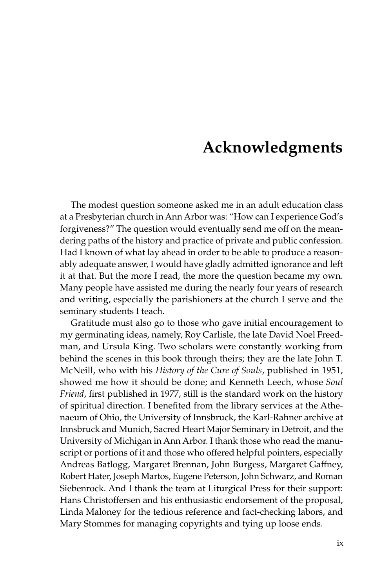### **Acknowledgments**

The modest question someone asked me in an adult education class at a Presbyterian church in Ann Arbor was: "How can I experience God's forgiveness?" The question would eventually send me off on the meandering paths of the history and practice of private and public confession. Had I known of what lay ahead in order to be able to produce a reasonably adequate answer, I would have gladly admitted ignorance and left it at that. But the more I read, the more the question became my own. Many people have assisted me during the nearly four years of research and writing, especially the parishioners at the church I serve and the seminary students I teach.

Gratitude must also go to those who gave initial encouragement to my germinating ideas, namely, Roy Carlisle, the late David Noel Freedman, and Ursula King. Two scholars were constantly working from behind the scenes in this book through theirs; they are the late John T. McNeill, who with his *History of the Cure of Souls*, published in 1951, showed me how it should be done; and Kenneth Leech, whose *Soul Friend*, first published in 1977, still is the standard work on the history of spiritual direction. I benefited from the library services at the Athenaeum of Ohio, the University of Innsbruck, the Karl-Rahner archive at Innsbruck and Munich, Sacred Heart Major Seminary in Detroit, and the University of Michigan in Ann Arbor. I thank those who read the manuscript or portions of it and those who offered helpful pointers, especially Andreas Batlogg, Margaret Brennan, John Burgess, Margaret Gaffney, Robert Hater, Joseph Martos, Eugene Peterson, John Schwarz, and Roman Siebenrock. And I thank the team at Liturgical Press for their support: Hans Christoffersen and his enthusiastic endorsement of the proposal, Linda Maloney for the tedious reference and fact-checking labors, and Mary Stommes for managing copyrights and tying up loose ends.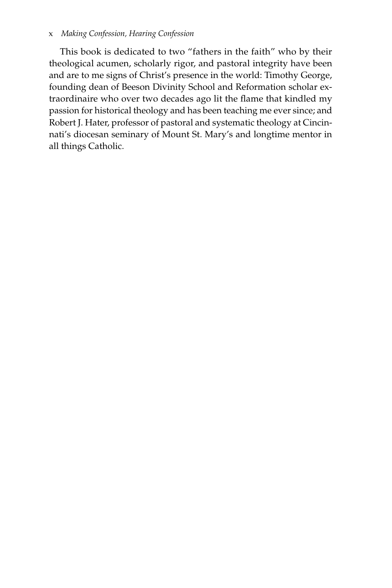### x *Making Confession, Hearing Confession*

This book is dedicated to two "fathers in the faith" who by their theological acumen, scholarly rigor, and pastoral integrity have been and are to me signs of Christ's presence in the world: Timothy George, founding dean of Beeson Divinity School and Reformation scholar extraordinaire who over two decades ago lit the flame that kindled my passion for historical theology and has been teaching me ever since; and Robert J. Hater, professor of pastoral and systematic theology at Cincinnati's diocesan seminary of Mount St. Mary's and longtime mentor in all things Catholic.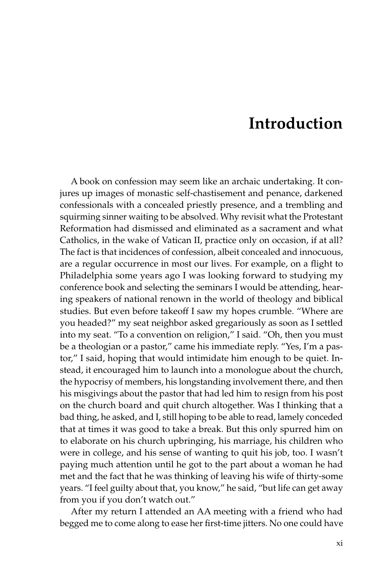### **Introduction**

A book on confession may seem like an archaic undertaking. It conjures up images of monastic self-chastisement and penance, darkened confessionals with a concealed priestly presence, and a trembling and squirming sinner waiting to be absolved. Why revisit what the Protestant Reformation had dismissed and eliminated as a sacrament and what Catholics, in the wake of Vatican II, practice only on occasion, if at all? The fact is that incidences of confession, albeit concealed and innocuous, are a regular occurrence in most our lives. For example, on a flight to Philadelphia some years ago I was looking forward to studying my conference book and selecting the seminars I would be attending, hearing speakers of national renown in the world of theology and biblical studies. But even before takeoff I saw my hopes crumble. "Where are you headed?" my seat neighbor asked gregariously as soon as I settled into my seat. "To a convention on religion," I said. "Oh, then you must be a theologian or a pastor," came his immediate reply. "Yes, I'm a pastor," I said, hoping that would intimidate him enough to be quiet. Instead, it encouraged him to launch into a monologue about the church, the hypocrisy of members, his longstanding involvement there, and then his misgivings about the pastor that had led him to resign from his post on the church board and quit church altogether. Was I thinking that a bad thing, he asked, and I, still hoping to be able to read, lamely conceded that at times it was good to take a break. But this only spurred him on to elaborate on his church upbringing, his marriage, his children who were in college, and his sense of wanting to quit his job, too. I wasn't paying much attention until he got to the part about a woman he had met and the fact that he was thinking of leaving his wife of thirty-some years. "I feel guilty about that, you know," he said, "but life can get away from you if you don't watch out."

After my return I attended an AA meeting with a friend who had begged me to come along to ease her first-time jitters. No one could have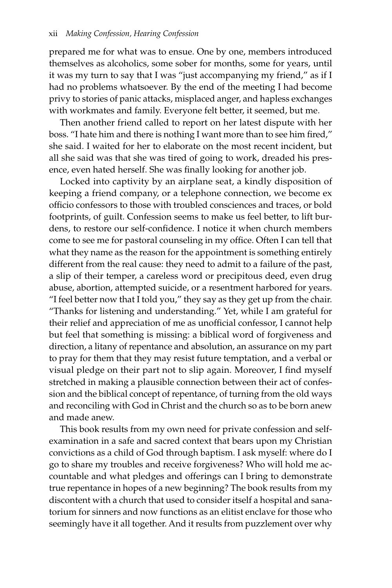prepared me for what was to ensue. One by one, members introduced themselves as alcoholics, some sober for months, some for years, until it was my turn to say that I was "just accompanying my friend," as if I had no problems whatsoever. By the end of the meeting I had become privy to stories of panic attacks, misplaced anger, and hapless exchanges with workmates and family. Everyone felt better, it seemed, but me.

Then another friend called to report on her latest dispute with her boss. "I hate him and there is nothing I want more than to see him fired," she said. I waited for her to elaborate on the most recent incident, but all she said was that she was tired of going to work, dreaded his presence, even hated herself. She was finally looking for another job.

Locked into captivity by an airplane seat, a kindly disposition of keeping a friend company, or a telephone connection, we become ex officio confessors to those with troubled consciences and traces, or bold footprints, of guilt. Confession seems to make us feel better, to lift burdens, to restore our self-confidence. I notice it when church members come to see me for pastoral counseling in my office. Often I can tell that what they name as the reason for the appointment is something entirely different from the real cause: they need to admit to a failure of the past, a slip of their temper, a careless word or precipitous deed, even drug abuse, abortion, attempted suicide, or a resentment harbored for years. "I feel better now that I told you," they say as they get up from the chair. "Thanks for listening and understanding." Yet, while I am grateful for their relief and appreciation of me as unofficial confessor, I cannot help but feel that something is missing: a biblical word of forgiveness and direction, a litany of repentance and absolution, an assurance on my part to pray for them that they may resist future temptation, and a verbal or visual pledge on their part not to slip again. Moreover, I find myself stretched in making a plausible connection between their act of confession and the biblical concept of repentance, of turning from the old ways and reconciling with God in Christ and the church so as to be born anew and made anew.

This book results from my own need for private confession and selfexamination in a safe and sacred context that bears upon my Christian convictions as a child of God through baptism. I ask myself: where do I go to share my troubles and receive forgiveness? Who will hold me accountable and what pledges and offerings can I bring to demonstrate true repentance in hopes of a new beginning? The book results from my discontent with a church that used to consider itself a hospital and sanatorium for sinners and now functions as an elitist enclave for those who seemingly have it all together. And it results from puzzlement over why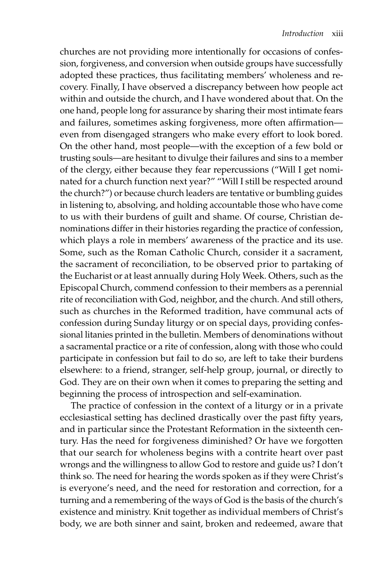churches are not providing more intentionally for occasions of confession, forgiveness, and conversion when outside groups have successfully adopted these practices, thus facilitating members' wholeness and recovery. Finally, I have observed a discrepancy between how people act within and outside the church, and I have wondered about that. On the one hand, people long for assurance by sharing their most intimate fears and failures, sometimes asking forgiveness, more often affirmation even from disengaged strangers who make every effort to look bored. On the other hand, most people—with the exception of a few bold or trusting souls—are hesitant to divulge their failures and sins to a member of the clergy, either because they fear repercussions ("Will I get nominated for a church function next year?" "Will I still be respected around the church?") or because church leaders are tentative or bumbling guides in listening to, absolving, and holding accountable those who have come to us with their burdens of guilt and shame. Of course, Christian denominations differ in their histories regarding the practice of confession, which plays a role in members' awareness of the practice and its use. Some, such as the Roman Catholic Church, consider it a sacrament, the sacrament of reconciliation, to be observed prior to partaking of the Eucharist or at least annually during Holy Week. Others, such as the Episcopal Church, commend confession to their members as a perennial rite of reconciliation with God, neighbor, and the church. And still others, such as churches in the Reformed tradition, have communal acts of confession during Sunday liturgy or on special days, providing confessional litanies printed in the bulletin. Members of denominations without a sacramental practice or a rite of confession, along with those who could participate in confession but fail to do so, are left to take their burdens elsewhere: to a friend, stranger, self-help group, journal, or directly to God. They are on their own when it comes to preparing the setting and beginning the process of introspection and self-examination.

The practice of confession in the context of a liturgy or in a private ecclesiastical setting has declined drastically over the past fifty years, and in particular since the Protestant Reformation in the sixteenth century. Has the need for forgiveness diminished? Or have we forgotten that our search for wholeness begins with a contrite heart over past wrongs and the willingness to allow God to restore and guide us? I don't think so. The need for hearing the words spoken as if they were Christ's is everyone's need, and the need for restoration and correction, for a turning and a remembering of the ways of God is the basis of the church's existence and ministry. Knit together as individual members of Christ's body, we are both sinner and saint, broken and redeemed, aware that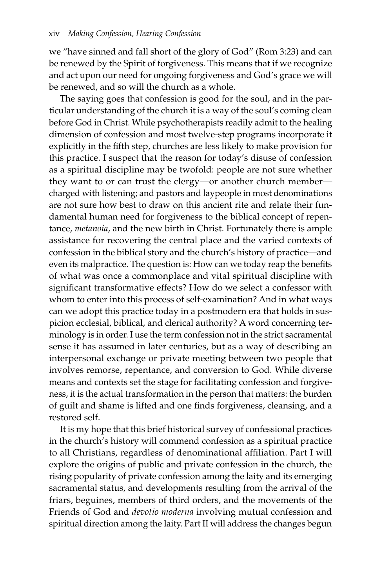we "have sinned and fall short of the glory of God" (Rom 3:23) and can be renewed by the Spirit of forgiveness. This means that if we recognize and act upon our need for ongoing forgiveness and God's grace we will be renewed, and so will the church as a whole.

The saying goes that confession is good for the soul, and in the particular understanding of the church it is a way of the soul's coming clean before God in Christ. While psychotherapists readily admit to the healing dimension of confession and most twelve-step programs incorporate it explicitly in the fifth step, churches are less likely to make provision for this practice. I suspect that the reason for today's disuse of confession as a spiritual discipline may be twofold: people are not sure whether they want to or can trust the clergy—or another church member charged with listening; and pastors and laypeople in most denominations are not sure how best to draw on this ancient rite and relate their fundamental human need for forgiveness to the biblical concept of repentance, *metanoia*, and the new birth in Christ. Fortunately there is ample assistance for recovering the central place and the varied contexts of confession in the biblical story and the church's history of practice—and even its malpractice. The question is: How can we today reap the benefits of what was once a commonplace and vital spiritual discipline with significant transformative effects? How do we select a confessor with whom to enter into this process of self-examination? And in what ways can we adopt this practice today in a postmodern era that holds in suspicion ecclesial, biblical, and clerical authority? A word concerning terminology is in order. I use the term confession not in the strict sacramental sense it has assumed in later centuries, but as a way of describing an interpersonal exchange or private meeting between two people that involves remorse, repentance, and conversion to God. While diverse means and contexts set the stage for facilitating confession and forgiveness, it is the actual transformation in the person that matters: the burden of guilt and shame is lifted and one finds forgiveness, cleansing, and a restored self.

It is my hope that this brief historical survey of confessional practices in the church's history will commend confession as a spiritual practice to all Christians, regardless of denominational affiliation. Part I will explore the origins of public and private confession in the church, the rising popularity of private confession among the laity and its emerging sacramental status, and developments resulting from the arrival of the friars, beguines, members of third orders, and the movements of the Friends of God and *devotio moderna* involving mutual confession and spiritual direction among the laity. Part II will address the changes begun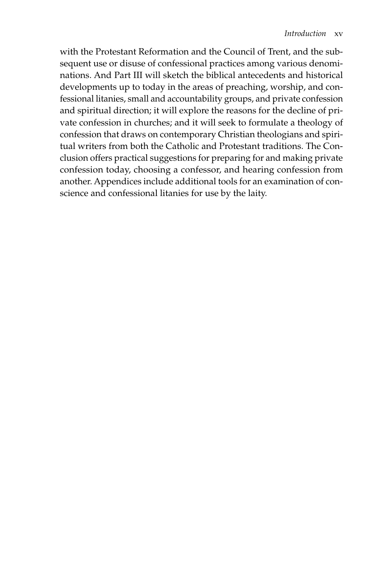with the Protestant Reformation and the Council of Trent, and the subsequent use or disuse of confessional practices among various denominations. And Part III will sketch the biblical antecedents and historical developments up to today in the areas of preaching, worship, and confessional litanies, small and accountability groups, and private confession and spiritual direction; it will explore the reasons for the decline of private confession in churches; and it will seek to formulate a theology of confession that draws on contemporary Christian theologians and spiritual writers from both the Catholic and Protestant traditions. The Conclusion offers practical suggestions for preparing for and making private confession today, choosing a confessor, and hearing confession from another. Appendices include additional tools for an examination of conscience and confessional litanies for use by the laity.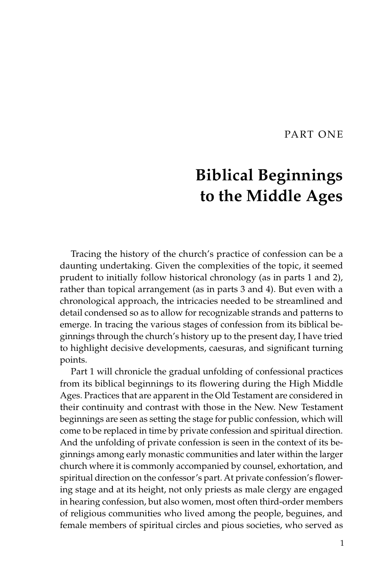### PART ONE

# **Biblical Beginnings to the Middle Ages**

Tracing the history of the church's practice of confession can be a daunting undertaking. Given the complexities of the topic, it seemed prudent to initially follow historical chronology (as in parts 1 and 2), rather than topical arrangement (as in parts 3 and 4). But even with a chronological approach, the intricacies needed to be streamlined and detail condensed so as to allow for recognizable strands and patterns to emerge. In tracing the various stages of confession from its biblical beginnings through the church's history up to the present day, I have tried to highlight decisive developments, caesuras, and significant turning points.

Part 1 will chronicle the gradual unfolding of confessional practices from its biblical beginnings to its flowering during the High Middle Ages. Practices that are apparent in the Old Testament are considered in their continuity and contrast with those in the New. New Testament beginnings are seen as setting the stage for public confession, which will come to be replaced in time by private confession and spiritual direction. And the unfolding of private confession is seen in the context of its beginnings among early monastic communities and later within the larger church where it is commonly accompanied by counsel, exhortation, and spiritual direction on the confessor's part. At private confession's flowering stage and at its height, not only priests as male clergy are engaged in hearing confession, but also women, most often third-order members of religious communities who lived among the people, beguines, and female members of spiritual circles and pious societies, who served as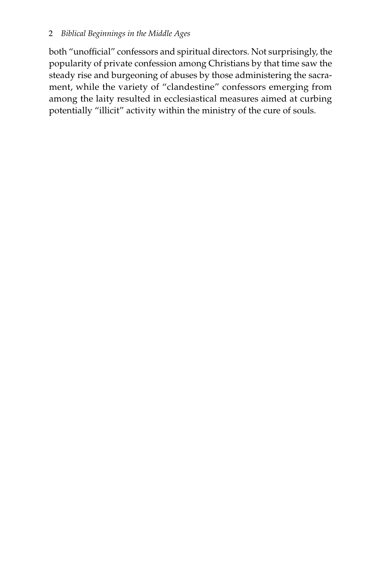both "unofficial" confessors and spiritual directors. Not surprisingly, the popularity of private confession among Christians by that time saw the steady rise and burgeoning of abuses by those administering the sacrament, while the variety of "clandestine" confessors emerging from among the laity resulted in ecclesiastical measures aimed at curbing potentially "illicit" activity within the ministry of the cure of souls.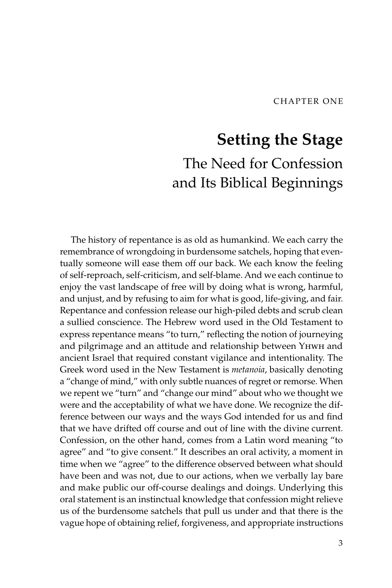### Chapter One

# **Setting the Stage** The Need for Confession and Its Biblical Beginnings

The history of repentance is as old as humankind. We each carry the remembrance of wrongdoing in burdensome satchels, hoping that eventually someone will ease them off our back. We each know the feeling of self-reproach, self-criticism, and self-blame. And we each continue to enjoy the vast landscape of free will by doing what is wrong, harmful, and unjust, and by refusing to aim for what is good, life-giving, and fair. Repentance and confession release our high-piled debts and scrub clean a sullied conscience. The Hebrew word used in the Old Testament to express repentance means "to turn," reflecting the notion of journeying and pilgrimage and an attitude and relationship between Yhwh and ancient Israel that required constant vigilance and intentionality. The Greek word used in the New Testament is *metanoia*, basically denoting a "change of mind," with only subtle nuances of regret or remorse. When we repent we "turn" and "change our mind" about who we thought we were and the acceptability of what we have done. We recognize the difference between our ways and the ways God intended for us and find that we have drifted off course and out of line with the divine current. Confession, on the other hand, comes from a Latin word meaning "to agree" and "to give consent." It describes an oral activity, a moment in time when we "agree" to the difference observed between what should have been and was not, due to our actions, when we verbally lay bare and make public our off-course dealings and doings. Underlying this oral statement is an instinctual knowledge that confession might relieve us of the burdensome satchels that pull us under and that there is the vague hope of obtaining relief, forgiveness, and appropriate instructions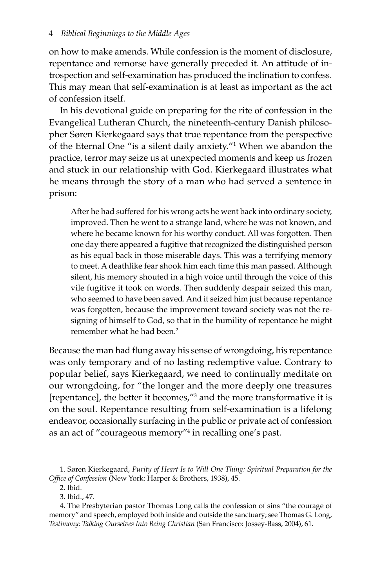on how to make amends. While confession is the moment of disclosure, repentance and remorse have generally preceded it. An attitude of introspection and self-examination has produced the inclination to confess. This may mean that self-examination is at least as important as the act of confession itself.

In his devotional guide on preparing for the rite of confession in the Evangelical Lutheran Church, the nineteenth-century Danish philosopher Søren Kierkegaard says that true repentance from the perspective of the Eternal One "is a silent daily anxiety."1 When we abandon the practice, terror may seize us at unexpected moments and keep us frozen and stuck in our relationship with God. Kierkegaard illustrates what he means through the story of a man who had served a sentence in prison:

After he had suffered for his wrong acts he went back into ordinary society, improved. Then he went to a strange land, where he was not known, and where he became known for his worthy conduct. All was forgotten. Then one day there appeared a fugitive that recognized the distinguished person as his equal back in those miserable days. This was a terrifying memory to meet. A deathlike fear shook him each time this man passed. Although silent, his memory shouted in a high voice until through the voice of this vile fugitive it took on words. Then suddenly despair seized this man, who seemed to have been saved. And it seized him just because repentance was forgotten, because the improvement toward society was not the resigning of himself to God, so that in the humility of repentance he might remember what he had been.<sup>2</sup>

Because the man had flung away his sense of wrongdoing, his repentance was only temporary and of no lasting redemptive value. Contrary to popular belief, says Kierkegaard, we need to continually meditate on our wrongdoing, for "the longer and the more deeply one treasures [repentance], the better it becomes,"3 and the more transformative it is on the soul. Repentance resulting from self-examination is a lifelong endeavor, occasionally surfacing in the public or private act of confession as an act of "courageous memory"4 in recalling one's past.

<sup>1.</sup> Søren Kierkegaard, *Purity of Heart Is to Will One Thing: Spiritual Preparation for the Office of Confession* (New York: Harper & Brothers, 1938), 45.

<sup>2.</sup> Ibid.

<sup>3.</sup> Ibid., 47.

<sup>4.</sup> The Presbyterian pastor Thomas Long calls the confession of sins "the courage of memory" and speech, employed both inside and outside the sanctuary; see Thomas G. Long, *Testimony: Talking Ourselves Into Being Christian* (San Francisco: Jossey-Bass, 2004), 61.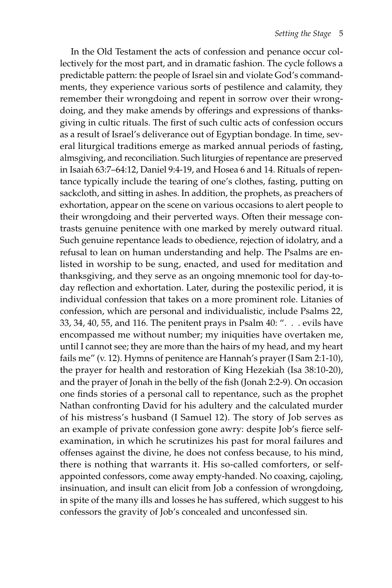In the Old Testament the acts of confession and penance occur collectively for the most part, and in dramatic fashion. The cycle follows a predictable pattern: the people of Israel sin and violate God's commandments, they experience various sorts of pestilence and calamity, they remember their wrongdoing and repent in sorrow over their wrongdoing, and they make amends by offerings and expressions of thanksgiving in cultic rituals. The first of such cultic acts of confession occurs as a result of Israel's deliverance out of Egyptian bondage. In time, several liturgical traditions emerge as marked annual periods of fasting, almsgiving, and reconciliation. Such liturgies of repentance are preserved in Isaiah 63:7–64:12, Daniel 9:4-19, and Hosea 6 and 14. Rituals of repentance typically include the tearing of one's clothes, fasting, putting on sackcloth, and sitting in ashes. In addition, the prophets, as preachers of exhortation, appear on the scene on various occasions to alert people to their wrongdoing and their perverted ways. Often their message contrasts genuine penitence with one marked by merely outward ritual. Such genuine repentance leads to obedience, rejection of idolatry, and a refusal to lean on human understanding and help. The Psalms are enlisted in worship to be sung, enacted, and used for meditation and thanksgiving, and they serve as an ongoing mnemonic tool for day-today reflection and exhortation. Later, during the postexilic period, it is individual confession that takes on a more prominent role. Litanies of confession, which are personal and individualistic, include Psalms 22, 33, 34, 40, 55, and 116. The penitent prays in Psalm 40: ". . . evils have encompassed me without number; my iniquities have overtaken me, until I cannot see; they are more than the hairs of my head, and my heart fails me" (v. 12). Hymns of penitence are Hannah's prayer (I Sam 2:1-10), the prayer for health and restoration of King Hezekiah (Isa 38:10-20), and the prayer of Jonah in the belly of the fish (Jonah 2:2-9). On occasion one finds stories of a personal call to repentance, such as the prophet Nathan confronting David for his adultery and the calculated murder of his mistress's husband (I Samuel 12). The story of Job serves as an example of private confession gone awry: despite Job's fierce selfexamination, in which he scrutinizes his past for moral failures and offenses against the divine, he does not confess because, to his mind, there is nothing that warrants it. His so-called comforters, or selfappointed confessors, come away empty-handed. No coaxing, cajoling, insinuation, and insult can elicit from Job a confession of wrongdoing, in spite of the many ills and losses he has suffered, which suggest to his confessors the gravity of Job's concealed and unconfessed sin.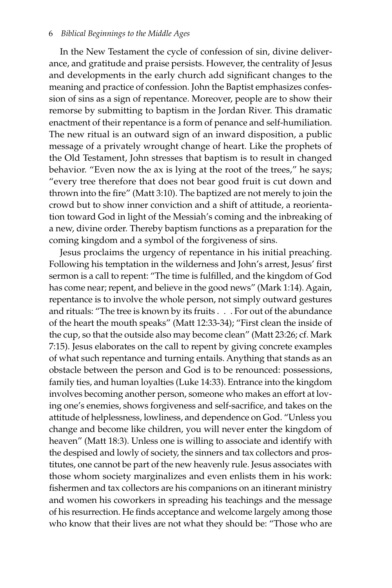#### 6 *Biblical Beginnings to the Middle Ages*

In the New Testament the cycle of confession of sin, divine deliverance, and gratitude and praise persists. However, the centrality of Jesus and developments in the early church add significant changes to the meaning and practice of confession. John the Baptist emphasizes confession of sins as a sign of repentance. Moreover, people are to show their remorse by submitting to baptism in the Jordan River. This dramatic enactment of their repentance is a form of penance and self-humiliation. The new ritual is an outward sign of an inward disposition, a public message of a privately wrought change of heart. Like the prophets of the Old Testament, John stresses that baptism is to result in changed behavior. "Even now the ax is lying at the root of the trees," he says; "every tree therefore that does not bear good fruit is cut down and thrown into the fire" (Matt 3:10). The baptized are not merely to join the crowd but to show inner conviction and a shift of attitude, a reorientation toward God in light of the Messiah's coming and the inbreaking of a new, divine order. Thereby baptism functions as a preparation for the coming kingdom and a symbol of the forgiveness of sins.

Jesus proclaims the urgency of repentance in his initial preaching. Following his temptation in the wilderness and John's arrest, Jesus' first sermon is a call to repent: "The time is fulfilled, and the kingdom of God has come near; repent, and believe in the good news" (Mark 1:14). Again, repentance is to involve the whole person, not simply outward gestures and rituals: "The tree is known by its fruits . . . For out of the abundance of the heart the mouth speaks" (Matt 12:33-34); "First clean the inside of the cup, so that the outside also may become clean" (Matt 23:26; cf. Mark 7:15). Jesus elaborates on the call to repent by giving concrete examples of what such repentance and turning entails. Anything that stands as an obstacle between the person and God is to be renounced: possessions, family ties, and human loyalties (Luke 14:33). Entrance into the kingdom involves becoming another person, someone who makes an effort at loving one's enemies, shows forgiveness and self-sacrifice, and takes on the attitude of helplessness, lowliness, and dependence on God. "Unless you change and become like children, you will never enter the kingdom of heaven" (Matt 18:3). Unless one is willing to associate and identify with the despised and lowly of society, the sinners and tax collectors and prostitutes, one cannot be part of the new heavenly rule. Jesus associates with those whom society marginalizes and even enlists them in his work: fishermen and tax collectors are his companions on an itinerant ministry and women his coworkers in spreading his teachings and the message of his resurrection. He finds acceptance and welcome largely among those who know that their lives are not what they should be: "Those who are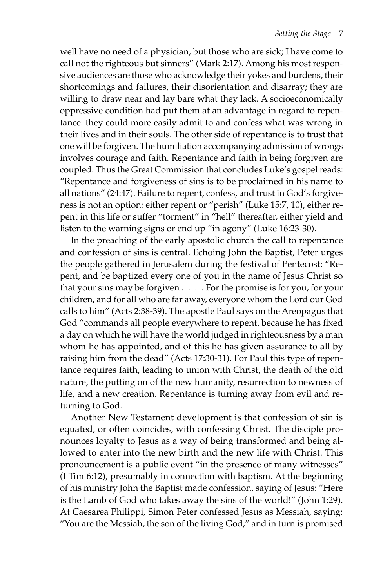well have no need of a physician, but those who are sick; I have come to call not the righteous but sinners" (Mark 2:17). Among his most responsive audiences are those who acknowledge their yokes and burdens, their shortcomings and failures, their disorientation and disarray; they are willing to draw near and lay bare what they lack. A socioeconomically oppressive condition had put them at an advantage in regard to repentance: they could more easily admit to and confess what was wrong in their lives and in their souls. The other side of repentance is to trust that one will be forgiven. The humiliation accompanying admission of wrongs involves courage and faith. Repentance and faith in being forgiven are coupled. Thus the Great Commission that concludes Luke's gospel reads: "Repentance and forgiveness of sins is to be proclaimed in his name to all nations" (24:47). Failure to repent, confess, and trust in God's forgiveness is not an option: either repent or "perish" (Luke 15:7, 10), either repent in this life or suffer "torment" in "hell" thereafter, either yield and listen to the warning signs or end up "in agony" (Luke 16:23-30).

In the preaching of the early apostolic church the call to repentance and confession of sins is central. Echoing John the Baptist, Peter urges the people gathered in Jerusalem during the festival of Pentecost: "Repent, and be baptized every one of you in the name of Jesus Christ so that your sins may be forgiven . . . . For the promise is for you, for your children, and for all who are far away, everyone whom the Lord our God calls to him" (Acts 2:38-39). The apostle Paul says on the Areopagus that God "commands all people everywhere to repent, because he has fixed a day on which he will have the world judged in righteousness by a man whom he has appointed, and of this he has given assurance to all by raising him from the dead" (Acts 17:30-31). For Paul this type of repentance requires faith, leading to union with Christ, the death of the old nature, the putting on of the new humanity, resurrection to newness of life, and a new creation. Repentance is turning away from evil and returning to God.

Another New Testament development is that confession of sin is equated, or often coincides, with confessing Christ. The disciple pronounces loyalty to Jesus as a way of being transformed and being allowed to enter into the new birth and the new life with Christ. This pronouncement is a public event "in the presence of many witnesses" (I Tim 6:12), presumably in connection with baptism. At the beginning of his ministry John the Baptist made confession, saying of Jesus: "Here is the Lamb of God who takes away the sins of the world!" (John 1:29). At Caesarea Philippi, Simon Peter confessed Jesus as Messiah, saying: "You are the Messiah, the son of the living God," and in turn is promised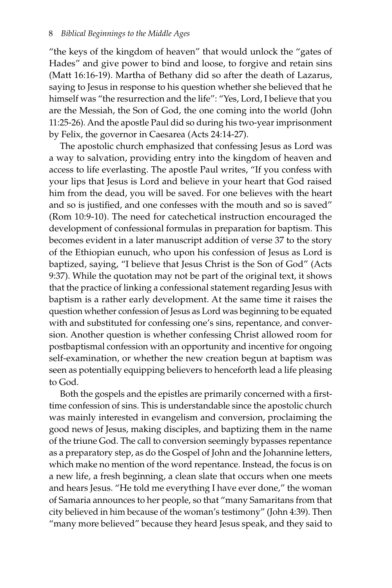"the keys of the kingdom of heaven" that would unlock the "gates of Hades" and give power to bind and loose, to forgive and retain sins (Matt 16:16-19). Martha of Bethany did so after the death of Lazarus, saying to Jesus in response to his question whether she believed that he himself was "the resurrection and the life": "Yes, Lord, I believe that you are the Messiah, the Son of God, the one coming into the world (John 11:25-26). And the apostle Paul did so during his two-year imprisonment by Felix, the governor in Caesarea (Acts 24:14-27).

The apostolic church emphasized that confessing Jesus as Lord was a way to salvation, providing entry into the kingdom of heaven and access to life everlasting. The apostle Paul writes, "If you confess with your lips that Jesus is Lord and believe in your heart that God raised him from the dead, you will be saved. For one believes with the heart and so is justified, and one confesses with the mouth and so is saved" (Rom 10:9-10). The need for catechetical instruction encouraged the development of confessional formulas in preparation for baptism. This becomes evident in a later manuscript addition of verse 37 to the story of the Ethiopian eunuch, who upon his confession of Jesus as Lord is baptized, saying, "I believe that Jesus Christ is the Son of God" (Acts 9:37). While the quotation may not be part of the original text, it shows that the practice of linking a confessional statement regarding Jesus with baptism is a rather early development. At the same time it raises the question whether confession of Jesus as Lord was beginning to be equated with and substituted for confessing one's sins, repentance, and conversion. Another question is whether confessing Christ allowed room for postbaptismal confession with an opportunity and incentive for ongoing self-examination, or whether the new creation begun at baptism was seen as potentially equipping believers to henceforth lead a life pleasing to God.

Both the gospels and the epistles are primarily concerned with a firsttime confession of sins. This is understandable since the apostolic church was mainly interested in evangelism and conversion, proclaiming the good news of Jesus, making disciples, and baptizing them in the name of the triune God. The call to conversion seemingly bypasses repentance as a preparatory step, as do the Gospel of John and the Johannine letters, which make no mention of the word repentance. Instead, the focus is on a new life, a fresh beginning, a clean slate that occurs when one meets and hears Jesus. "He told me everything I have ever done," the woman of Samaria announces to her people, so that "many Samaritans from that city believed in him because of the woman's testimony" (John 4:39). Then "many more believed" because they heard Jesus speak, and they said to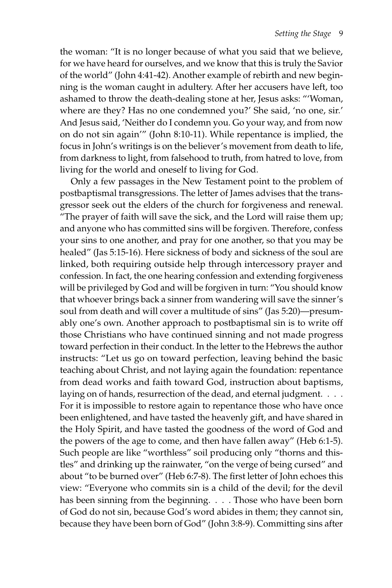the woman: "It is no longer because of what you said that we believe, for we have heard for ourselves, and we know that this is truly the Savior of the world" (John 4:41-42). Another example of rebirth and new beginning is the woman caught in adultery. After her accusers have left, too ashamed to throw the death-dealing stone at her, Jesus asks: "'Woman, where are they? Has no one condemned you?' She said, 'no one, sir.' And Jesus said, 'Neither do I condemn you. Go your way, and from now on do not sin again'" (John 8:10-11). While repentance is implied, the focus in John's writings is on the believer's movement from death to life, from darkness to light, from falsehood to truth, from hatred to love, from living for the world and oneself to living for God.

Only a few passages in the New Testament point to the problem of postbaptismal transgressions. The letter of James advises that the transgressor seek out the elders of the church for forgiveness and renewal. "The prayer of faith will save the sick, and the Lord will raise them up; and anyone who has committed sins will be forgiven. Therefore, confess your sins to one another, and pray for one another, so that you may be healed" (Jas 5:15-16). Here sickness of body and sickness of the soul are linked, both requiring outside help through intercessory prayer and confession. In fact, the one hearing confession and extending forgiveness will be privileged by God and will be forgiven in turn: "You should know that whoever brings back a sinner from wandering will save the sinner's soul from death and will cover a multitude of sins" (Jas 5:20)—presumably one's own. Another approach to postbaptismal sin is to write off those Christians who have continued sinning and not made progress toward perfection in their conduct. In the letter to the Hebrews the author instructs: "Let us go on toward perfection, leaving behind the basic teaching about Christ, and not laying again the foundation: repentance from dead works and faith toward God, instruction about baptisms, laying on of hands, resurrection of the dead, and eternal judgment. . . . For it is impossible to restore again to repentance those who have once been enlightened, and have tasted the heavenly gift, and have shared in the Holy Spirit, and have tasted the goodness of the word of God and the powers of the age to come, and then have fallen away" (Heb 6:1-5). Such people are like "worthless" soil producing only "thorns and thistles" and drinking up the rainwater, "on the verge of being cursed" and about "to be burned over" (Heb 6:7-8). The first letter of John echoes this view: "Everyone who commits sin is a child of the devil; for the devil has been sinning from the beginning. . . . Those who have been born of God do not sin, because God's word abides in them; they cannot sin, because they have been born of God" (John 3:8-9). Committing sins after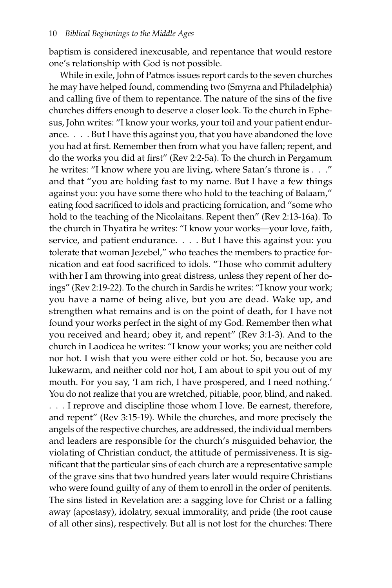baptism is considered inexcusable, and repentance that would restore one's relationship with God is not possible.

While in exile, John of Patmos issues report cards to the seven churches he may have helped found, commending two (Smyrna and Philadelphia) and calling five of them to repentance. The nature of the sins of the five churches differs enough to deserve a closer look. To the church in Ephesus, John writes: "I know your works, your toil and your patient endurance. . . . But I have this against you, that you have abandoned the love you had at first. Remember then from what you have fallen; repent, and do the works you did at first" (Rev 2:2-5a). To the church in Pergamum he writes: "I know where you are living, where Satan's throne is . . ." and that "you are holding fast to my name. But I have a few things against you: you have some there who hold to the teaching of Balaam," eating food sacrificed to idols and practicing fornication, and "some who hold to the teaching of the Nicolaitans. Repent then" (Rev 2:13-16a). To the church in Thyatira he writes: "I know your works—your love, faith, service, and patient endurance. . . . But I have this against you: you tolerate that woman Jezebel," who teaches the members to practice fornication and eat food sacrificed to idols. "Those who commit adultery with her I am throwing into great distress, unless they repent of her doings" (Rev 2:19-22). To the church in Sardis he writes: "I know your work; you have a name of being alive, but you are dead. Wake up, and strengthen what remains and is on the point of death, for I have not found your works perfect in the sight of my God. Remember then what you received and heard; obey it, and repent" (Rev 3:1-3). And to the church in Laodicea he writes: "I know your works; you are neither cold nor hot. I wish that you were either cold or hot. So, because you are lukewarm, and neither cold nor hot, I am about to spit you out of my mouth. For you say, 'I am rich, I have prospered, and I need nothing.' You do not realize that you are wretched, pitiable, poor, blind, and naked. . . . I reprove and discipline those whom I love. Be earnest, therefore, and repent" (Rev 3:15-19). While the churches, and more precisely the angels of the respective churches, are addressed, the individual members and leaders are responsible for the church's misguided behavior, the violating of Christian conduct, the attitude of permissiveness. It is significant that the particular sins of each church are a representative sample of the grave sins that two hundred years later would require Christians who were found guilty of any of them to enroll in the order of penitents. The sins listed in Revelation are: a sagging love for Christ or a falling away (apostasy), idolatry, sexual immorality, and pride (the root cause of all other sins), respectively. But all is not lost for the churches: There